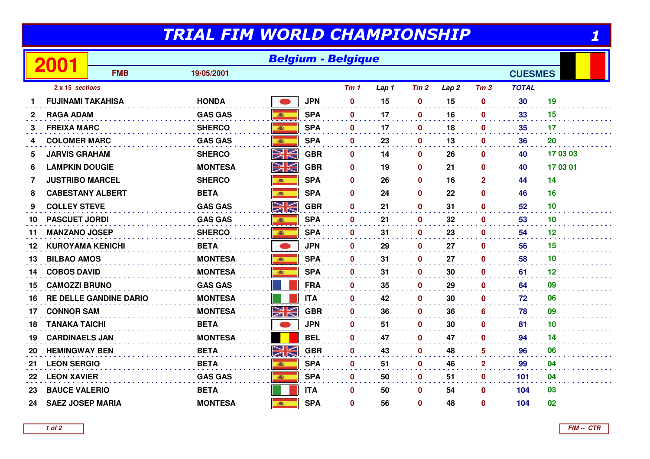## TRIAL FIM WORLD CHAMPIONSHIP

| TRIAL FIM WORLD CHAMPIONSHIP      |                          |                               |                |                              |            |                 |       |                |                  |                  |              |          |
|-----------------------------------|--------------------------|-------------------------------|----------------|------------------------------|------------|-----------------|-------|----------------|------------------|------------------|--------------|----------|
| <b>Belgium - Belgique</b><br>2001 |                          |                               |                |                              |            |                 |       |                |                  |                  |              |          |
|                                   |                          | <b>FMB</b>                    | 19/05/2001     |                              |            |                 |       | <b>CUESMES</b> |                  |                  |              |          |
|                                   | 2 x 15 sections          |                               |                |                              |            | Tm <sub>1</sub> | Lap 1 | Tm2            | Lap <sub>2</sub> | Tm <sub>3</sub>  | <b>TOTAL</b> |          |
|                                   | <b>FUJINAMI TAKAHISA</b> |                               | <b>HONDA</b>   |                              | <b>JPN</b> | $\mathbf 0$     | 15    | $\pmb{0}$      | 15               | $\bf{0}$         | 30           | 19       |
| 2                                 | <b>RAGA ADAM</b>         |                               | <b>GAS GAS</b> |                              | <b>SPA</b> | $\mathbf 0$     | 17    | $\mathbf 0$    | 16               | $\mathbf{0}$     | 33           | 15       |
| 3                                 | <b>FREIXA MARC</b>       |                               | <b>SHERCO</b>  |                              | <b>SPA</b> | $\mathbf 0$     | 17    | $\mathbf 0$    | 18               | $\mathbf 0$      | 35           | 17       |
| 4                                 | <b>COLOMER MARC</b>      |                               | <b>GAS GAS</b> | <b>BOSS</b>                  | <b>SPA</b> | $\mathbf 0$     | 23    | $\mathbf{0}$   | 13               | $\mathbf{0}$     | 36           | 20       |
| 5                                 | <b>JARVIS GRAHAM</b>     |                               | <b>SHERCO</b>  | <u>NK</u>                    | <b>GBR</b> | $\mathbf 0$     | 14    | $\mathbf{0}$   | 26               | $\mathbf{0}$     | 40           | 17 03 03 |
| 6                                 | <b>LAMPKIN DOUGIE</b>    |                               | <b>MONTESA</b> | $\frac{\text{W}}{\text{NN}}$ | <b>GBR</b> | $\mathbf{0}$    | 19    | $\mathbf 0$    | 21               | $\mathbf 0$      | 40           | 17 03 01 |
| 7                                 | <b>JUSTRIBO MARCEL</b>   |                               | <b>SHERCO</b>  | 藤                            | <b>SPA</b> | $\mathbf 0$     | 26    | $\mathbf 0$    | 16               | $\overline{2}$   | 44           | 14       |
| 8                                 |                          | <b>CABESTANY ALBERT</b>       | <b>BETA</b>    |                              | <b>SPA</b> | $\mathbf 0$     | 24    | $\mathbf 0$    | 22               | $\mathbf 0$      | 46           | 16       |
| 9                                 | <b>COLLEY STEVE</b>      |                               | <b>GAS GAS</b> | XK                           | <b>GBR</b> | $\mathbf{0}$    | 21    | $\mathbf{0}$   | 31               | $\mathbf{0}$     | 52           | 10       |
| 10                                | <b>PASCUET JORDI</b>     |                               | <b>GAS GAS</b> |                              | <b>SPA</b> | $\mathbf 0$     | 21    | 0              | 32               | $\mathbf 0$      | 53           | 10       |
| 11                                | <b>MANZANO JOSEP</b>     |                               | <b>SHERCO</b>  |                              | <b>SPA</b> | $\mathbf{0}$    | 31    | $\mathbf 0$    | 23               | $\bf{0}$         | 54           | 12       |
| 12                                | <b>KUROYAMA KENICHI</b>  |                               | <b>BETA</b>    |                              | <b>JPN</b> | $\mathbf{0}$    | 29    | $\mathbf 0$    | 27               | $\mathbf{0}$     | 56           | 15       |
| 13                                | <b>BILBAO AMOS</b>       |                               | <b>MONTESA</b> |                              | <b>SPA</b> | $\mathbf 0$     | 31    | 0              | 27               | $\boldsymbol{0}$ | 58           | 10       |
| 14                                | <b>COBOS DAVID</b>       |                               | <b>MONTESA</b> | <b>BO</b>                    | <b>SPA</b> | $\mathbf 0$     | 31    | $\mathbf 0$    | 30               | $\mathbf 0$      | 61           | 12       |
| 15                                | <b>CAMOZZI BRUNO</b>     |                               | <b>GAS GAS</b> |                              | <b>FRA</b> | $\mathbf 0$     | 35    | $\mathbf 0$    | 29               | $\mathbf 0$      | 64           | 09       |
| 16                                |                          | <b>RE DELLE GANDINE DARIO</b> | <b>MONTESA</b> |                              | <b>ITA</b> | $\mathbf 0$     | 42    | $\mathbf 0$    | 30               | $\mathbf 0$      | 72           | 06       |
| 17                                | <b>CONNOR SAM</b>        |                               | <b>MONTESA</b> | <u>NK</u>                    | <b>GBR</b> | $\mathbf 0$     | 36    | $\mathbf 0$    | 36               | 6                | 78           | 09       |
| 18                                | <b>TANAKA TAICHI</b>     |                               | <b>BETA</b>    |                              | <b>JPN</b> | $\mathbf 0$     | 51    | $\mathbf 0$    | 30               | $\mathbf 0$      | 81           | 10       |
| 19                                | <b>CARDINAELS JAN</b>    |                               | <b>MONTESA</b> |                              | <b>BEL</b> | $\mathbf 0$     | 47    | $\mathbf 0$    | 47               | $\mathbf 0$      | 94           | 14       |
| 20                                | <b>HEMINGWAY BEN</b>     |                               | <b>BETA</b>    | <u>NK</u>                    | <b>GBR</b> | $\mathbf 0$     | 43    | $\mathbf 0$    | 48               | 5                | 96           | 06       |
| 21                                | <b>LEON SERGIO</b>       |                               | <b>BETA</b>    | <b>BEE</b>                   | <b>SPA</b> | $\mathbf 0$     | 51    | $\mathbf 0$    | 46               | $\mathbf{2}$     | 99           | 04       |
| 22                                | <b>LEON XAVIER</b>       |                               | <b>GAS GAS</b> | 游                            | <b>SPA</b> | $\mathbf 0$     | 50    | $\mathbf 0$    | 51               | $\mathbf 0$      | 101          | 04       |
| 23                                | <b>BAUCE VALERIO</b>     |                               | <b>BETA</b>    |                              | <b>ITA</b> | $\mathbf 0$     | 50    | $\mathbf 0$    | 54               | $\mathbf 0$      | 104          | 03       |
| 24                                | <b>SAEZ JOSEP MARIA</b>  |                               | <b>MONTESA</b> |                              | <b>SPA</b> | $\mathbf 0$     | 56    | $\mathbf 0$    | 48               | $\mathbf 0$      | 104          | 02       |